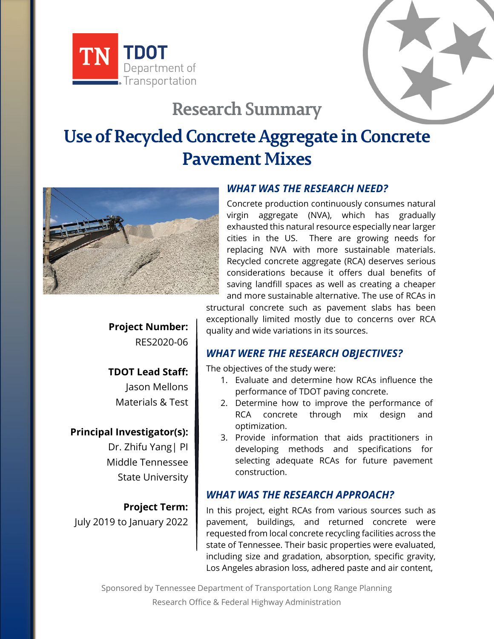

# **Research Summary**

# **Use of Recycled Concrete Aggregate in Concrete Pavement Mixes**



# *WHAT WAS THE RESEARCH NEED?*

Concrete production continuously consumes natural virgin aggregate (NVA), which has gradually exhausted this natural resource especially near larger cities in the US. There are growing needs for replacing NVA with more sustainable materials. Recycled concrete aggregate (RCA) deserves serious considerations because it offers dual benefits of saving landfill spaces as well as creating a cheaper and more sustainable alternative. The use of RCAs in

structural concrete such as pavement slabs has been exceptionally limited mostly due to concerns over RCA quality and wide variations in its sources.

# *WHAT WERE THE RESEARCH OBJECTIVES?*

The objectives of the study were:

- 1. Evaluate and determine how RCAs influence the performance of TDOT paving concrete.
- 2. Determine how to improve the performance of RCA concrete through mix design and optimization.
- 3. Provide information that aids practitioners in developing methods and specifications for selecting adequate RCAs for future pavement construction.

#### *WHAT WAS THE RESEARCH APPROACH?*

In this project, eight RCAs from various sources such as pavement, buildings, and returned concrete were requested from local concrete recycling facilities across the state of Tennessee. Their basic properties were evaluated, including size and gradation, absorption, specific gravity, Los Angeles abrasion loss, adhered paste and air content,

Sponsored by Tennessee Department of Transportation Long Range Planning Research Office & Federal Highway Administration

**Project Number:** RES2020-06

**TDOT Lead Staff:** Jason Mellons Materials & Test

# **Principal Investigator(s):**

Dr. Zhifu Yang| PI Middle Tennessee State University

**Project Term:** July 2019 to January 2022